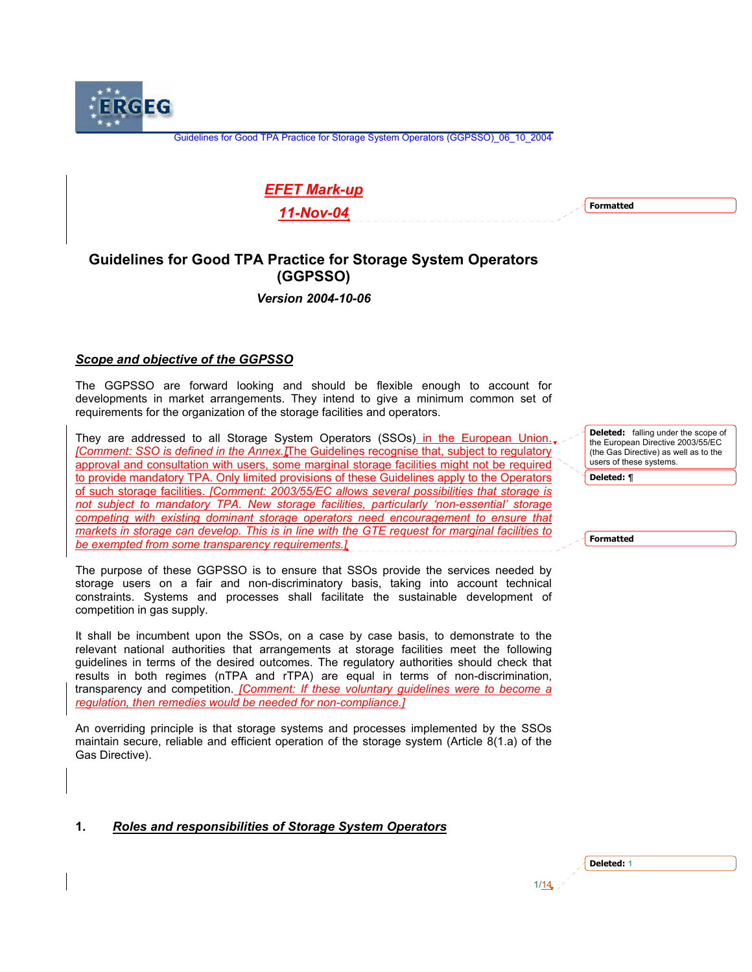**ERGEG** 

Guidelines for Good TPA Practice for Storage System Operators (GGPSSO)\_06\_10\_2004

# *EFET Mark-up*

*11-Nov-04*

**Formatted**

# **Guidelines for Good TPA Practice for Storage System Operators (GGPSSO)**

*Version 2004-10-06* 

### *Scope and objective of the GGPSSO*

The GGPSSO are forward looking and should be flexible enough to account for developments in market arrangements. They intend to give a minimum common set of requirements for the organization of the storage facilities and operators.

They are addressed to all Storage System Operators (SSOs) in the European Union. *[Comment: SSO is defined in the Annex.]*The Guidelines recognise that, subject to regulatory approval and consultation with users, some marginal storage facilities might not be required to provide mandatory TPA. Only limited provisions of these Guidelines apply to the Operators of such storage facilities. *[Comment: 2003/55/EC allows several possibilities that storage is not subject to mandatory TPA. New storage facilities, particularly 'non-essential' storage competing with existing dominant storage operators need encouragement to ensure that markets in storage can develop. This is in line with the GTE request for marginal facilities to be exempted from some transparency requirements.]*

The purpose of these GGPSSO is to ensure that SSOs provide the services needed by storage users on a fair and non-discriminatory basis, taking into account technical constraints. Systems and processes shall facilitate the sustainable development of competition in gas supply.

It shall be incumbent upon the SSOs, on a case by case basis, to demonstrate to the relevant national authorities that arrangements at storage facilities meet the following guidelines in terms of the desired outcomes. The regulatory authorities should check that results in both regimes (nTPA and rTPA) are equal in terms of non-discrimination, transparency and competition. *[Comment: If these voluntary guidelines were to become a regulation, then remedies would be needed for non-compliance.]*

An overriding principle is that storage systems and processes implemented by the SSOs maintain secure, reliable and efficient operation of the storage system (Article 8(1.a) of the Gas Directive).

 $1/14$ 

## **1.** *Roles and responsibilities of Storage System Operators*

**Deleted:** falling under the scope of the European Directive 2003/55/EC (the Gas Directive) as well as to the users of these systems.

**Deleted:** *¶*

**Formatted**

| Deleted: 1 |  |
|------------|--|
|            |  |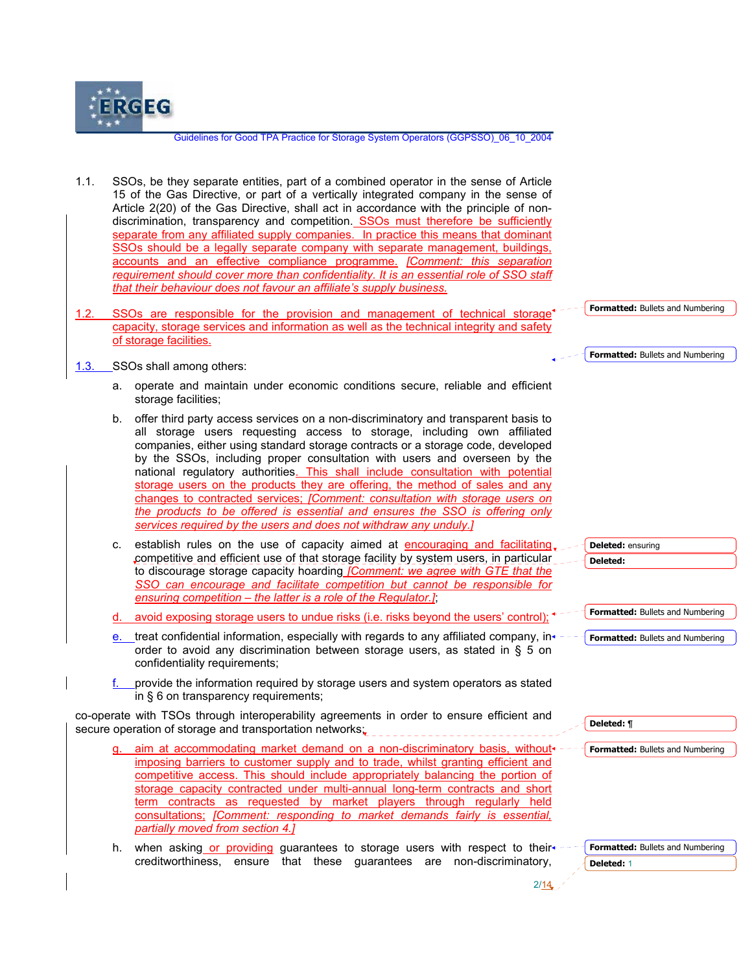

- 1.1. SSOs, be they separate entities, part of a combined operator in the sense of Article 15 of the Gas Directive, or part of a vertically integrated company in the sense of Article 2(20) of the Gas Directive, shall act in accordance with the principle of nondiscrimination, transparency and competition. SSOs must therefore be sufficiently separate from any affiliated supply companies. In practice this means that dominant SSOs should be a legally separate company with separate management, buildings, accounts and an effective compliance programme. *[Comment: this separation*  requirement should cover more than confidentiality. It is an essential role of SSO staff *that their behaviour does not favour an affiliate's supply business.*
- 1.2. SSOs are responsible for the provision and management of technical storage capacity, storage services and information as well as the technical integrity and safety of storage facilities.
- 1.3. SSOs shall among others:
	- a. operate and maintain under economic conditions secure, reliable and efficient storage facilities;
	- b. offer third party access services on a non-discriminatory and transparent basis to all storage users requesting access to storage, including own affiliated companies, either using standard storage contracts or a storage code, developed by the SSOs, including proper consultation with users and overseen by the national regulatory authorities. This shall include consultation with potential storage users on the products they are offering, the method of sales and any changes to contracted services; *[Comment: consultation with storage users on the products to be offered is essential and ensures the SSO is offering only services required by the users and does not withdraw any unduly.]*
	- c. establish rules on the use of capacity aimed at encouraging and facilitating. competitive and efficient use of that storage facility by system users, in particular to discourage storage capacity hoarding *[Comment: we agree with GTE that the SSO can encourage and facilitate competition but cannot be responsible for ensuring competition – the latter is a role of the Regulator.]*;
	- d. avoid exposing storage users to undue risks (i.e. risks beyond the users' control); <sup>+</sup>
	- e. treat confidential information, especially with regards to any affiliated company, in $\leftarrow$ order to avoid any discrimination between storage users, as stated in § 5 on confidentiality requirements;
	- provide the information required by storage users and system operators as stated in § 6 on transparency requirements;

co-operate with TSOs through interoperability agreements in order to ensure efficient and secure operation of storage and transportation networks;

- aim at accommodating market demand on a non-discriminatory basis, without  $$ imposing barriers to customer supply and to trade, whilst granting efficient and competitive access. This should include appropriately balancing the portion of storage capacity contracted under multi-annual long-term contracts and short term contracts as requested by market players through regularly held consultations; *[Comment: responding to market demands fairly is essential, partially moved from section 4.]*
- h. when asking or providing guarantees to storage users with respect to their +creditworthiness, ensure that these guarantees are non-discriminatory,



**Formatted:** Bullets and Numbering

**Deleted:** ensuring **Deleted:** 

**Deleted:** ¶

**Formatted:** Bullets and Numbering

**Formatted:** Bullets and Numbering

**Formatted:** Bullets and Numbering

**Formatted:** Bullets and Numbering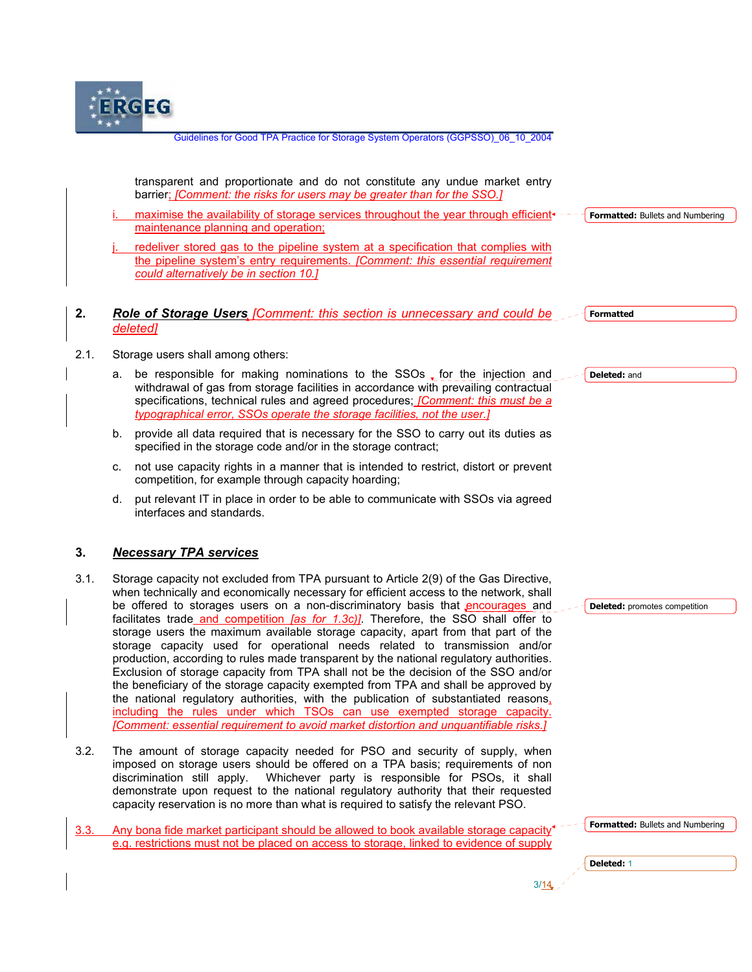

transparent and proportionate and do not constitute any undue market entry barrier; *[Comment: the risks for users may be greater than for the SSO.]*

maximise the availability of storage services throughout the year through efficient $\cdot$ maintenance planning and operation; **Formatted:** Bullets and Numbering

redeliver stored gas to the pipeline system at a specification that complies with the pipeline system's entry requirements. *[Comment: this essential requirement could alternatively be in section 10.]*

#### **2.** *Role of Storage Users [Comment: this section is unnecessary and could be deleted]*

2.1. Storage users shall among others:

- a. be responsible for making nominations to the  $SSOs$ , for the injection and withdrawal of gas from storage facilities in accordance with prevailing contractual specifications, technical rules and agreed procedures; *[Comment: this must be a typographical error, SSOs operate the storage facilities, not the user.]*
- b. provide all data required that is necessary for the SSO to carry out its duties as specified in the storage code and/or in the storage contract;
- c. not use capacity rights in a manner that is intended to restrict, distort or prevent competition, for example through capacity hoarding;
- d. put relevant IT in place in order to be able to communicate with SSOs via agreed interfaces and standards.

## **3.** *Necessary TPA services*

- 3.1. Storage capacity not excluded from TPA pursuant to Article 2(9) of the Gas Directive, when technically and economically necessary for efficient access to the network, shall be offered to storages users on a non-discriminatory basis that encourages and facilitates trade and competition *[as for 1.3c)]*. Therefore, the SSO shall offer to storage users the maximum available storage capacity, apart from that part of the storage capacity used for operational needs related to transmission and/or production, according to rules made transparent by the national regulatory authorities. Exclusion of storage capacity from TPA shall not be the decision of the SSO and/or the beneficiary of the storage capacity exempted from TPA and shall be approved by the national regulatory authorities, with the publication of substantiated reasons, including the rules under which TSOs can use exempted storage capacity. *[Comment: essential requirement to avoid market distortion and unquantifiable risks.]*
- 3.2. The amount of storage capacity needed for PSO and security of supply, when imposed on storage users should be offered on a TPA basis; requirements of non discrimination still apply. Whichever party is responsible for PSOs, it shall demonstrate upon request to the national regulatory authority that their requested capacity reservation is no more than what is required to satisfy the relevant PSO.

| 3.3. Any bona fide market participant should be allowed to book available storage capacity <sup><math>\sim</math>-</sup> |
|--------------------------------------------------------------------------------------------------------------------------|
| e.g. restrictions must not be placed on access to storage, linked to evidence of supply                                  |

 $\frac{3}{14}$ 

**Deleted:** and

**Formatted**

**Deleted:** promotes competition

**Formatted:** Bullets and Numbering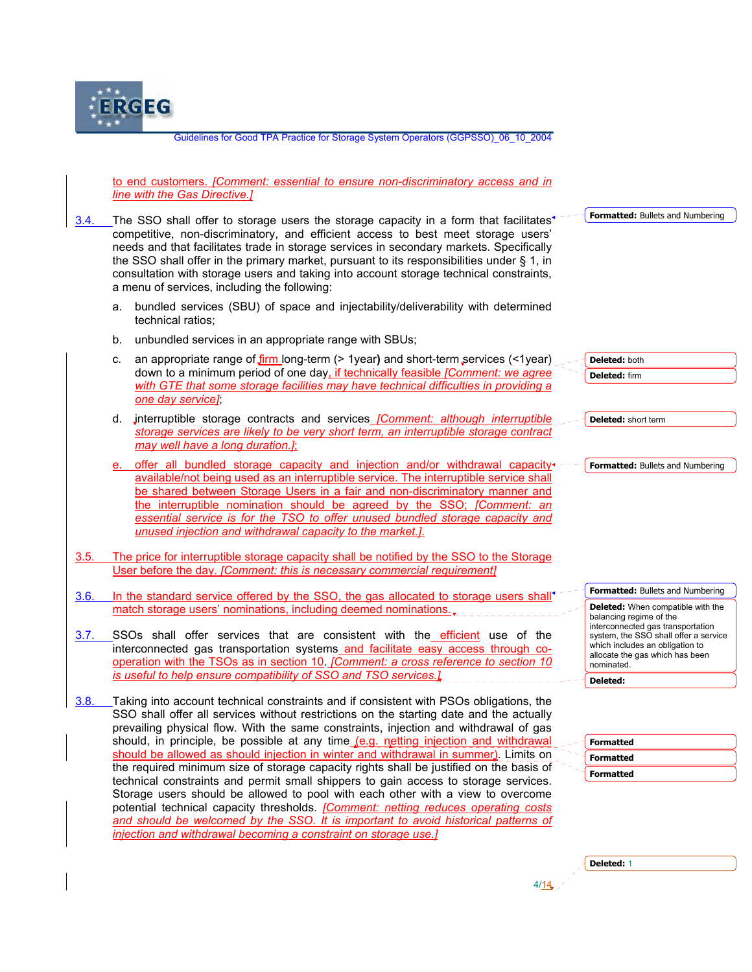

to end customers. *[Comment: essential to ensure non-discriminatory access and in line with the Gas Directive.]*

3.4. The SSO shall offer to storage users the storage capacity in a form that facilitates<sup>4</sup> competitive, non-discriminatory, and efficient access to best meet storage users' needs and that facilitates trade in storage services in secondary markets. Specifically the SSO shall offer in the primary market, pursuant to its responsibilities under § 1, in consultation with storage users and taking into account storage technical constraints, a menu of services, including the following:

- a. bundled services (SBU) of space and injectability/deliverability with determined technical ratios;
- b. unbundled services in an appropriate range with SBUs;
- c. an appropriate range of firm long-term (> 1year**)** and short-term services (<1year) down to a minimum period of one day, if technically feasible *[Comment: we agree with GTE that some storage facilities may have technical difficulties in providing a one day service]*;
- d. interruptible storage contracts and services *[Comment: although interruptible storage services are likely to be very short term, an interruptible storage contract may well have a long duration.]*;
- offer all bundled storage capacity and injection and/or withdrawal capacity+ available/not being used as an interruptible service. The interruptible service shall be shared between Storage Users in a fair and non-discriminatory manner and the interruptible nomination should be agreed by the SSO; *[Comment: an*  essential service is for the TSO to offer unused bundled storage capacity and *unused injection and withdrawal capacity to the market.]*.
- 3.5. The price for interruptible storage capacity shall be notified by the SSO to the Storage User before the day. *[Comment: this is necessary commercial requirement]*
- 3.6. In the standard service offered by the SSO, the gas allocated to storage users shall match storage users' nominations, including deemed nominations..
- 3.7. SSOs shall offer services that are consistent with the efficient use of the interconnected gas transportation systems and facilitate easy access through cooperation with the TSOs as in section 10. *[Comment: a cross reference to section 10 is useful to help ensure compatibility of SSO and TSO services.]*
- 3.8. Taking into account technical constraints and if consistent with PSOs obligations, the SSO shall offer all services without restrictions on the starting date and the actually prevailing physical flow. With the same constraints, injection and withdrawal of gas should, in principle, be possible at any time  $(e.g.,$  netting injection and withdrawal should be allowed as should injection in winter and withdrawal in summer). Limits on the required minimum size of storage capacity rights shall be justified on the basis of technical constraints and permit small shippers to gain access to storage services. Storage users should be allowed to pool with each other with a view to overcome potential technical capacity thresholds. *[Comment: netting reduces operating costs*  and should be welcomed by the SSO. It is important to avoid historical patterns of *injection and withdrawal becoming a constraint on storage use.]*

**Formatted:** Bullets and Numbering **Formatted:** Bullets and Numbering **Deleted:** both **Deleted:** firm **Deleted:** short term **Deleted:** When compatible with the balancing regime of the interconnected gas transportation system, the SSO shall offer a service which includes an obligation to allocate the gas which has been nominated. **Deleted:** 

**Formatted:** Bullets and Numbering

| <b>Formatted</b> |
|------------------|
| <b>Formatted</b> |
| <b>Formatted</b> |
|                  |

| . |
|---|
|   |
|   |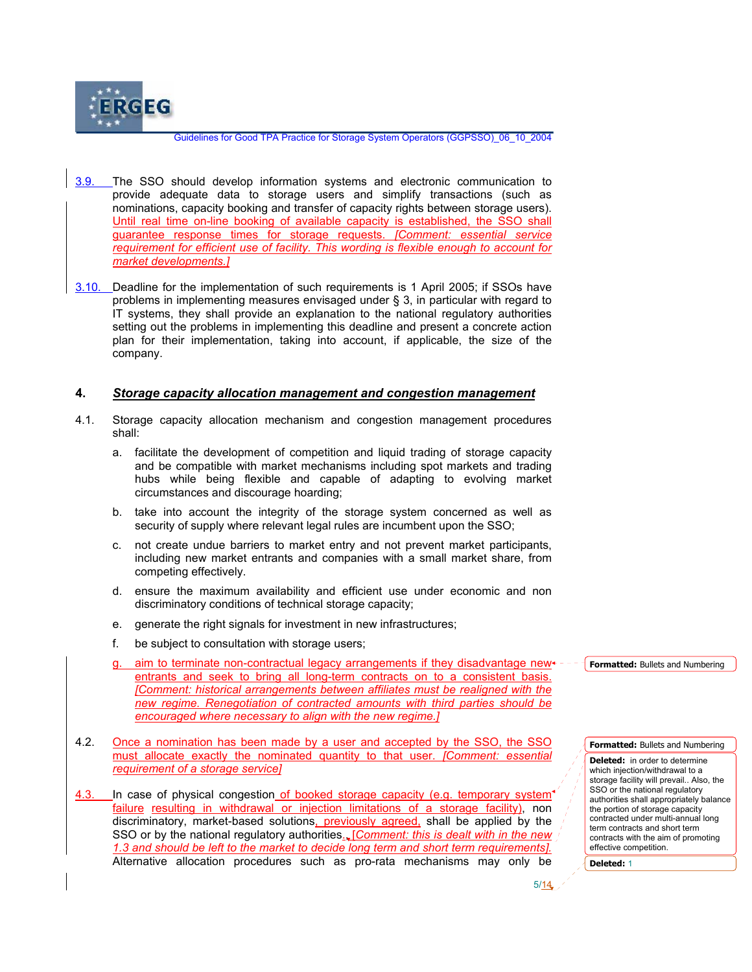

- 3.9. The SSO should develop information systems and electronic communication to provide adequate data to storage users and simplify transactions (such as nominations, capacity booking and transfer of capacity rights between storage users). Until real time on-line booking of available capacity is established, the SSO shall guarantee response times for storage requests. *[Comment: essential service requirement for efficient use of facility. This wording is flexible enough to account for market developments.]*
- 3.10. Deadline for the implementation of such requirements is 1 April 2005; if SSOs have problems in implementing measures envisaged under § 3, in particular with regard to IT systems, they shall provide an explanation to the national regulatory authorities setting out the problems in implementing this deadline and present a concrete action plan for their implementation, taking into account, if applicable, the size of the company.

#### **4.** *Storage capacity allocation management and congestion management*

- 4.1. Storage capacity allocation mechanism and congestion management procedures shall:
	- a. facilitate the development of competition and liquid trading of storage capacity and be compatible with market mechanisms including spot markets and trading hubs while being flexible and capable of adapting to evolving market circumstances and discourage hoarding;
	- b. take into account the integrity of the storage system concerned as well as security of supply where relevant legal rules are incumbent upon the SSO;
	- c. not create undue barriers to market entry and not prevent market participants, including new market entrants and companies with a small market share, from competing effectively.
	- d. ensure the maximum availability and efficient use under economic and non discriminatory conditions of technical storage capacity;
	- e. generate the right signals for investment in new infrastructures;
	- f. be subject to consultation with storage users;
	- aim to terminate non-contractual legacy arrangements if they disadvantage newentrants and seek to bring all long-term contracts on to a consistent basis. **[Comment: historical arrangements between affiliates must be realigned with the** *new regime. Renegotiation of contracted amounts with third parties should be encouraged where necessary to align with the new regime.]*
- 4.2. Once a nomination has been made by a user and accepted by the SSO, the SSO must allocate exactly the nominated quantity to that user. *[Comment: essential requirement of a storage service]*
- 4.3. In case of physical congestion of booked storage capacity (e.g. temporary system) failure resulting in withdrawal or injection limitations of a storage facility), non discriminatory, market-based solutions, previously agreed, shall be applied by the SSO or by the national regulatory authorities., [*Comment: this is dealt with in the new 1.3 and should be left to the market to decide long term and short term requirements].*  Alternative allocation procedures such as pro-rata mechanisms may only be

**Formatted:** Bullets and Numbering

**Formatted:** Bullets and Numbering

**Deleted:** in order to determine which injection/withdrawal to a storage facility will prevail.. Also, the SSO or the national regulatory authorities shall appropriately balance the portion of storage capacity contracted under multi-annual long term contracts and short term contracts with the aim of promoting effective competition.

 $5/14$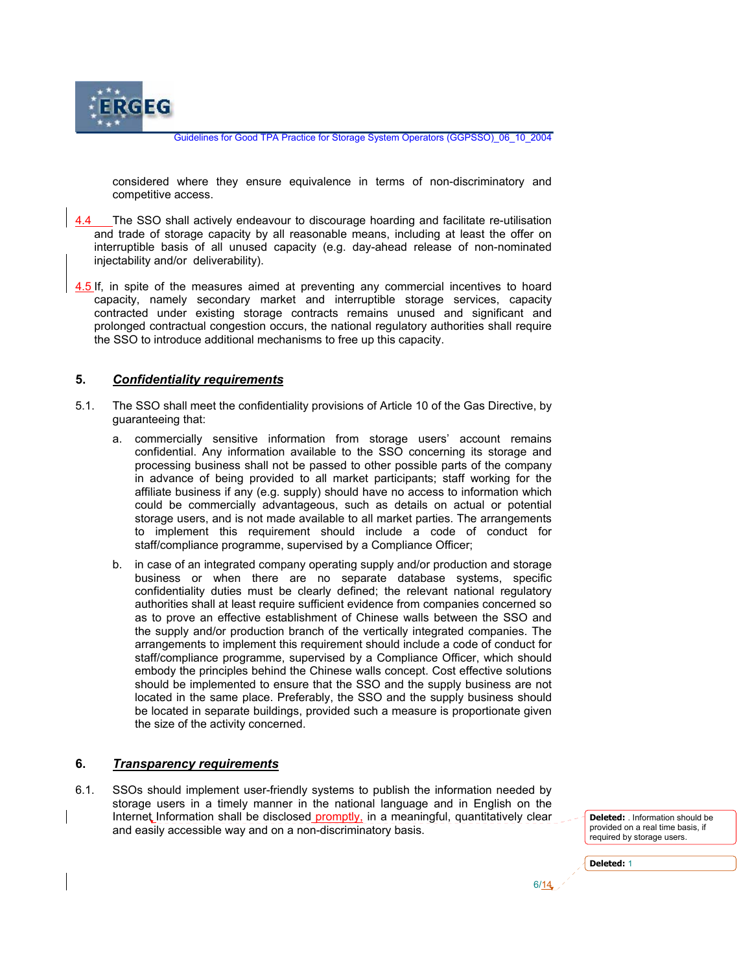

considered where they ensure equivalence in terms of non-discriminatory and competitive access.

- 4.4 The SSO shall actively endeavour to discourage hoarding and facilitate re-utilisation and trade of storage capacity by all reasonable means, including at least the offer on interruptible basis of all unused capacity (e.g. day-ahead release of non-nominated injectability and/or deliverability).
- 4.5 If, in spite of the measures aimed at preventing any commercial incentives to hoard capacity, namely secondary market and interruptible storage services, capacity contracted under existing storage contracts remains unused and significant and prolonged contractual congestion occurs, the national regulatory authorities shall require the SSO to introduce additional mechanisms to free up this capacity.

#### **5.** *Confidentiality requirements*

- 5.1. The SSO shall meet the confidentiality provisions of Article 10 of the Gas Directive, by guaranteeing that:
	- a. commercially sensitive information from storage users' account remains confidential. Any information available to the SSO concerning its storage and processing business shall not be passed to other possible parts of the company in advance of being provided to all market participants; staff working for the affiliate business if any (e.g. supply) should have no access to information which could be commercially advantageous, such as details on actual or potential storage users, and is not made available to all market parties. The arrangements to implement this requirement should include a code of conduct for staff/compliance programme, supervised by a Compliance Officer;
	- b. in case of an integrated company operating supply and/or production and storage business or when there are no separate database systems, specific confidentiality duties must be clearly defined; the relevant national regulatory authorities shall at least require sufficient evidence from companies concerned so as to prove an effective establishment of Chinese walls between the SSO and the supply and/or production branch of the vertically integrated companies. The arrangements to implement this requirement should include a code of conduct for staff/compliance programme, supervised by a Compliance Officer, which should embody the principles behind the Chinese walls concept. Cost effective solutions should be implemented to ensure that the SSO and the supply business are not located in the same place. Preferably, the SSO and the supply business should be located in separate buildings, provided such a measure is proportionate given the size of the activity concerned.

#### **6.** *Transparency requirements*

6.1. SSOs should implement user-friendly systems to publish the information needed by storage users in a timely manner in the national language and in English on the Internet Information shall be disclosed promptly, in a meaningful, quantitatively clear and easily accessible way and on a non-discriminatory basis.

 $\sim$  6/14

**Deleted:** . Information should be provided on a real time basis, if required by storage users.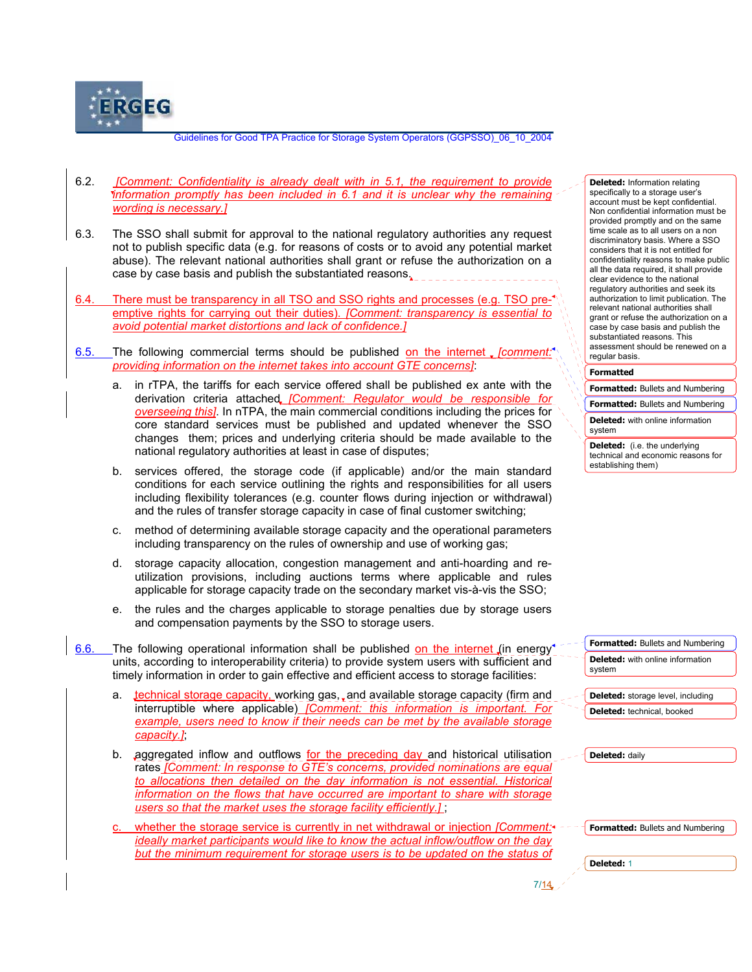

- 6.2. *[Comment: Confidentiality is already dealt with in 5.1, the requirement to provide information promptly has been included in 6.1 and it is unclear why the remaining wording is necessary.]*
- 6.3. The SSO shall submit for approval to the national regulatory authorities any request not to publish specific data (e.g. for reasons of costs or to avoid any potential market abuse). The relevant national authorities shall grant or refuse the authorization on a case by case basis and publish the substantiated reasons.
- 6.4. There must be transparency in all TSO and SSO rights and processes (e.g. TSO preemptive rights for carrying out their duties). *[Comment: transparency is essential to avoid potential market distortions and lack of confidence.]*
- 6.5. The following commercial terms should be published on the internet *[comment: providing information on the internet takes into account GTE concerns]*:
	- a. in rTPA, the tariffs for each service offered shall be published ex ante with the derivation criteria attached *[Comment: Regulator would be responsible for overseeing this]*. In nTPA, the main commercial conditions including the prices for core standard services must be published and updated whenever the SSO changes them; prices and underlying criteria should be made available to the national regulatory authorities at least in case of disputes;
	- b. services offered, the storage code (if applicable) and/or the main standard conditions for each service outlining the rights and responsibilities for all users including flexibility tolerances (e.g. counter flows during injection or withdrawal) and the rules of transfer storage capacity in case of final customer switching;
	- c. method of determining available storage capacity and the operational parameters including transparency on the rules of ownership and use of working gas;
	- d. storage capacity allocation, congestion management and anti-hoarding and reutilization provisions, including auctions terms where applicable and rules applicable for storage capacity trade on the secondary market vis-à-vis the SSO;
	- e. the rules and the charges applicable to storage penalties due by storage users and compensation payments by the SSO to storage users.
- 6.6. The following operational information shall be published on the internet (in energy units, according to interoperability criteria) to provide system users with sufficient and timely information in order to gain effective and efficient access to storage facilities:
	- a. technical storage capacity, working gas, and available storage capacity (firm and interruptible where applicable) *[Comment: this information is important. For example, users need to know if their needs can be met by the available storage capacity.]*;
	- b. aggregated inflow and outflows for the preceding day and historical utilisation rates *[Comment: In response to GTE's concerns, provided nominations are equal to allocations then detailed on the day information is not essential. Historical information on the flows that have occurred are important to share with storage users so that the market uses the storage facility efficiently.]* ;
	- whether the storage service is currently in net withdrawal or injection *[Comment:*<sup>\*</sup> *ideally market participants would like to know the actual inflow/outflow on the day but the minimum requirement for storage users is to be updated on the status of*

 $7/14$ 

**Deleted:** Information relating specifically to a storage user's account must be kept confidential. Non confidential information must be provided promptly and on the same time scale as to all users on a non discriminatory basis. Where a SSO considers that it is not entitled for confidentiality reasons to make public all the data required, it shall provide clear evidence to the national regulatory authorities and seek its authorization to limit publication. The relevant national authorities shall grant or refuse the authorization on a case by case basis and publish the substantiated reasons. This assessment should be renewed on a regular basis.

#### **Formatted**

**Formatted:** Bullets and Numbering

**Formatted:** Bullets and Numbering

**Deleted:** with online information system

**Deleted:** (i.e. the underlying technical and economic reasons for establishing them)

**Formatted:** Bullets and Numbering **Deleted:** with online information system

**Deleted:** storage level, including **Deleted:** technical, booked

**Deleted:** daily

**Formatted:** Bullets and Numbering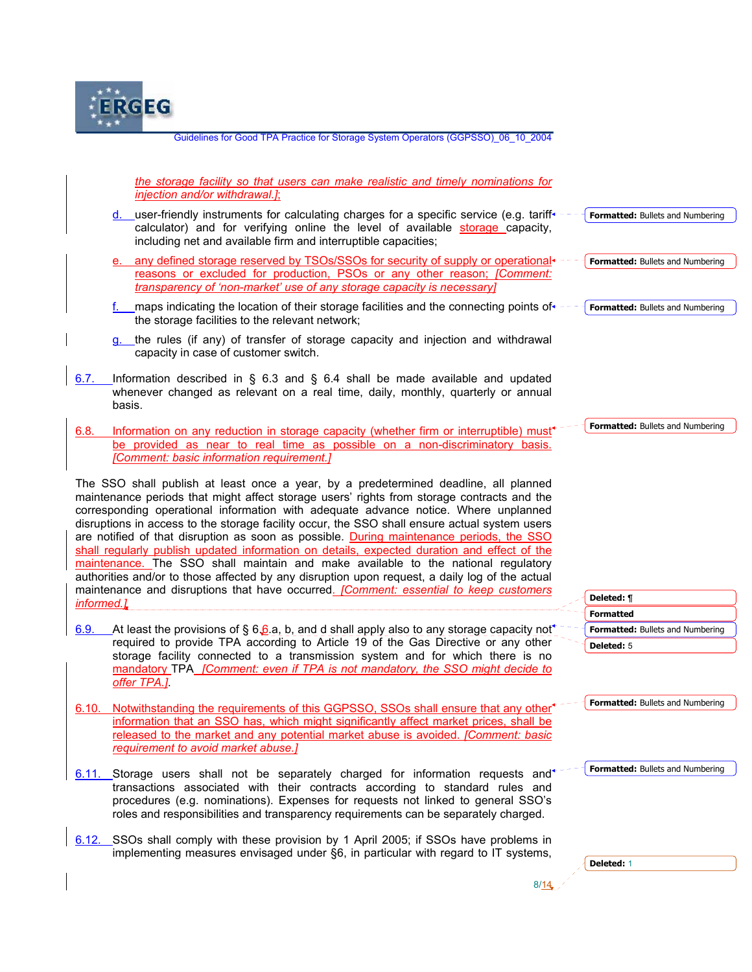

— в област в област в област в област в област в област в област в област в област в област в област в област<br>В 1<mark>14</mark> *the storage facility so that users can make realistic and timely nominations for injection and/or withdrawal.]*; d. user-friendly instruments for calculating charges for a specific service (e.g. tariff $\epsilon$ calculator) and for verifying online the level of available storage capacity, including net and available firm and interruptible capacities; e. any defined storage reserved by TSOs/SSOs for security of supply or operational + reasons or excluded for production, PSOs or any other reason; *[Comment: transparency of 'non-market' use of any storage capacity is necessary]* f. maps indicating the location of their storage facilities and the connecting points of  $\epsilon$  the storage facilities to the relevant network; g. the rules (if any) of transfer of storage capacity and injection and withdrawal capacity in case of customer switch. 6.7. Information described in § 6.3 and § 6.4 shall be made available and updated whenever changed as relevant on a real time, daily, monthly, quarterly or annual basis. 6.8. Information on any reduction in storage capacity (whether firm or interruptible) must<sup>\*</sup> be provided as near to real time as possible on a non-discriminatory basis. *[Comment: basic information requirement.]* The SSO shall publish at least once a year, by a predetermined deadline, all planned maintenance periods that might affect storage users' rights from storage contracts and the corresponding operational information with adequate advance notice. Where unplanned disruptions in access to the storage facility occur, the SSO shall ensure actual system users are notified of that disruption as soon as possible. During maintenance periods, the SSO shall regularly publish updated information on details, expected duration and effect of the maintenance. The SSO shall maintain and make available to the national regulatory authorities and/or to those affected by any disruption upon request, a daily log of the actual maintenance and disruptions that have occurred. *[Comment: essential to keep customers informed.]* 6.9. At least the provisions of § 6.6.a, b, and d shall apply also to any storage capacity not required to provide TPA according to Article 19 of the Gas Directive or any other storage facility connected to a transmission system and for which there is no mandatory TPA *[Comment: even if TPA is not mandatory, the SSO might decide to offer TPA.]*. 6.10. Notwithstanding the requirements of this GGPSSO, SSOs shall ensure that any other information that an SSO has, which might significantly affect market prices, shall be released to the market and any potential market abuse is avoided. *[Comment: basic requirement to avoid market abuse.]* 6.11. Storage users shall not be separately charged for information requests and transactions associated with their contracts according to standard rules and procedures (e.g. nominations). Expenses for requests not linked to general SSO's roles and responsibilities and transparency requirements can be separately charged. 6.12. SSOs shall comply with these provision by 1 April 2005; if SSOs have problems in implementing measures envisaged under §6, in particular with regard to IT systems, **Formatted:** Bullets and Numbering **Formatted:** Bullets and Numbering **Formatted:** Bullets and Numbering **Formatted Formatted:** Bullets and Numbering **Formatted:** Bullets and Numbering **Formatted:** Bullets and Numbering **Formatted:** Bullets and Numbering **Deleted:** ¶ **Deleted:** 5 **Deleted:** 1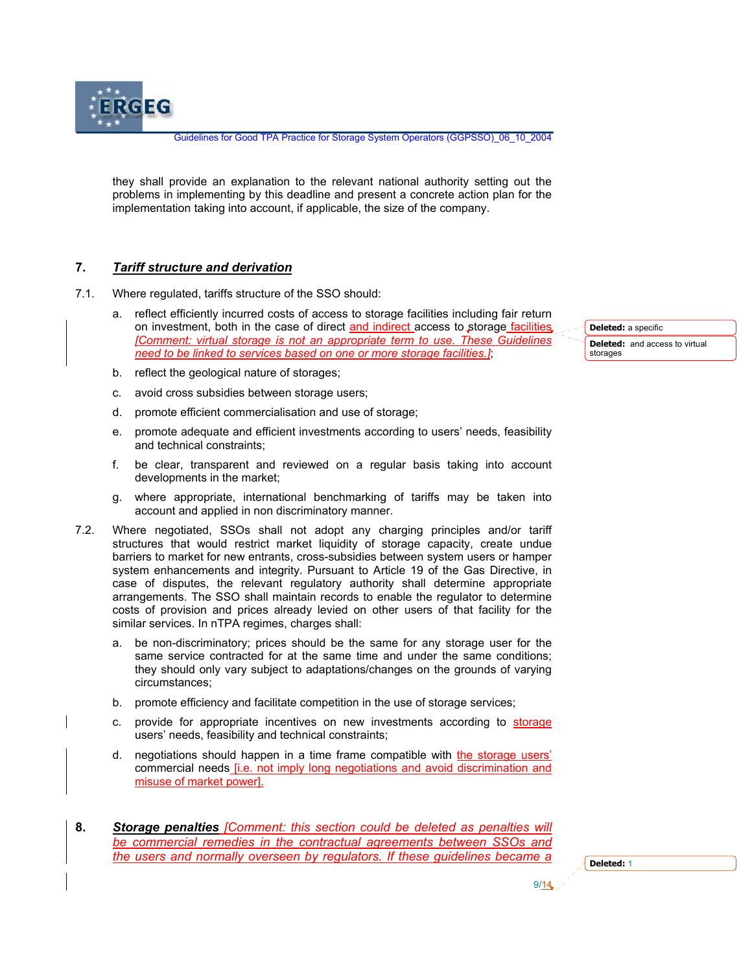they shall provide an explanation to the relevant national authority setting out the problems in implementing by this deadline and present a concrete action plan for the implementation taking into account, if applicable, the size of the company.

## **7.** *Tariff structure and derivation*

**ERGEG** 

- 7.1. Where regulated, tariffs structure of the SSO should:
	- a. reflect efficiently incurred costs of access to storage facilities including fair return on investment, both in the case of direct and indirect access to storage facilities *[Comment: virtual storage is not an appropriate term to use. These Guidelines need to be linked to services based on one or more storage facilities.]*;

**Deleted:** a specific **Deleted:** and access to virtual storages

- b. reflect the geological nature of storages;
- c. avoid cross subsidies between storage users;
- d. promote efficient commercialisation and use of storage;
- e. promote adequate and efficient investments according to users' needs, feasibility and technical constraints;
- f. be clear, transparent and reviewed on a regular basis taking into account developments in the market;
- g. where appropriate, international benchmarking of tariffs may be taken into account and applied in non discriminatory manner.
- 7.2. Where negotiated, SSOs shall not adopt any charging principles and/or tariff structures that would restrict market liquidity of storage capacity, create undue barriers to market for new entrants, cross-subsidies between system users or hamper system enhancements and integrity. Pursuant to Article 19 of the Gas Directive, in case of disputes, the relevant regulatory authority shall determine appropriate arrangements. The SSO shall maintain records to enable the regulator to determine costs of provision and prices already levied on other users of that facility for the similar services. In nTPA regimes, charges shall:
	- a. be non-discriminatory; prices should be the same for any storage user for the same service contracted for at the same time and under the same conditions; they should only vary subject to adaptations/changes on the grounds of varying circumstances;
	- b. promote efficiency and facilitate competition in the use of storage services;
	- c. provide for appropriate incentives on new investments according to storage users' needs, feasibility and technical constraints;
	- d. negotiations should happen in a time frame compatible with the storage users' commercial needs [i.e. not imply long negotiations and avoid discrimination and misuse of market power].
- **8.** *Storage penalties [Comment: this section could be deleted as penalties will be commercial remedies in the contractual agreements between SSOs and the users and normally overseen by regulators. If these guidelines became a*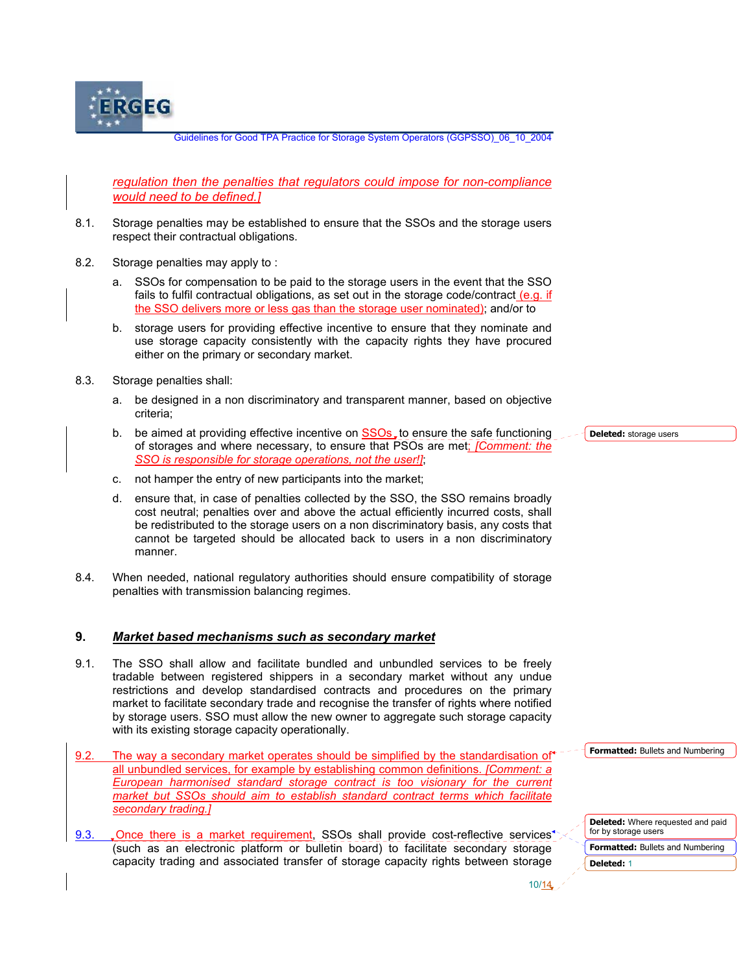

*regulation then the penalties that regulators could impose for non-compliance would need to be defined.]*

- 8.1. Storage penalties may be established to ensure that the SSOs and the storage users respect their contractual obligations.
- 8.2. Storage penalties may apply to :
	- a. SSOs for compensation to be paid to the storage users in the event that the SSO fails to fulfil contractual obligations, as set out in the storage code/contract (e.g. if the SSO delivers more or less gas than the storage user nominated); and/or to
	- b. storage users for providing effective incentive to ensure that they nominate and use storage capacity consistently with the capacity rights they have procured either on the primary or secondary market.
- 8.3. Storage penalties shall:
	- a. be designed in a non discriminatory and transparent manner, based on objective criteria;
	- b. be aimed at providing effective incentive on SSOs<sub>s</sub> to ensure the safe functioning of storages and where necessary, to ensure that PSOs are met; *[Comment: the SSO is responsible for storage operations, not the user!]*;
	- c. not hamper the entry of new participants into the market;
	- d. ensure that, in case of penalties collected by the SSO, the SSO remains broadly cost neutral; penalties over and above the actual efficiently incurred costs, shall be redistributed to the storage users on a non discriminatory basis, any costs that cannot be targeted should be allocated back to users in a non discriminatory manner.
- 8.4. When needed, national regulatory authorities should ensure compatibility of storage penalties with transmission balancing regimes.

#### **9.** *Market based mechanisms such as secondary market*

9.1. The SSO shall allow and facilitate bundled and unbundled services to be freely tradable between registered shippers in a secondary market without any undue restrictions and develop standardised contracts and procedures on the primary market to facilitate secondary trade and recognise the transfer of rights where notified by storage users. SSO must allow the new owner to aggregate such storage capacity with its existing storage capacity operationally.

9.3. Once there is a market requirement, SSOs shall provide cost-reflective services<sup>4</sup> (such as an electronic platform or bulletin board) to facilitate secondary storage capacity trading and associated transfer of storage capacity rights between storage

**Deleted:** storage users

**Formatted:** Bullets and Numbering

| <b>Deleted:</b> Where requested and paid<br>for by storage users |
|------------------------------------------------------------------|
| <b>Formatted:</b> Bullets and Numbering                          |
| Deleted: 1                                                       |

 $10/\sqrt{14}$ 

<sup>9.2.</sup> The way a secondary market operates should be simplified by the standardisation of all unbundled services, for example by establishing common definitions. *[Comment: a European harmonised standard storage contract is too visionary for the current market but SSOs should aim to establish standard contract terms which facilitate secondary trading.]*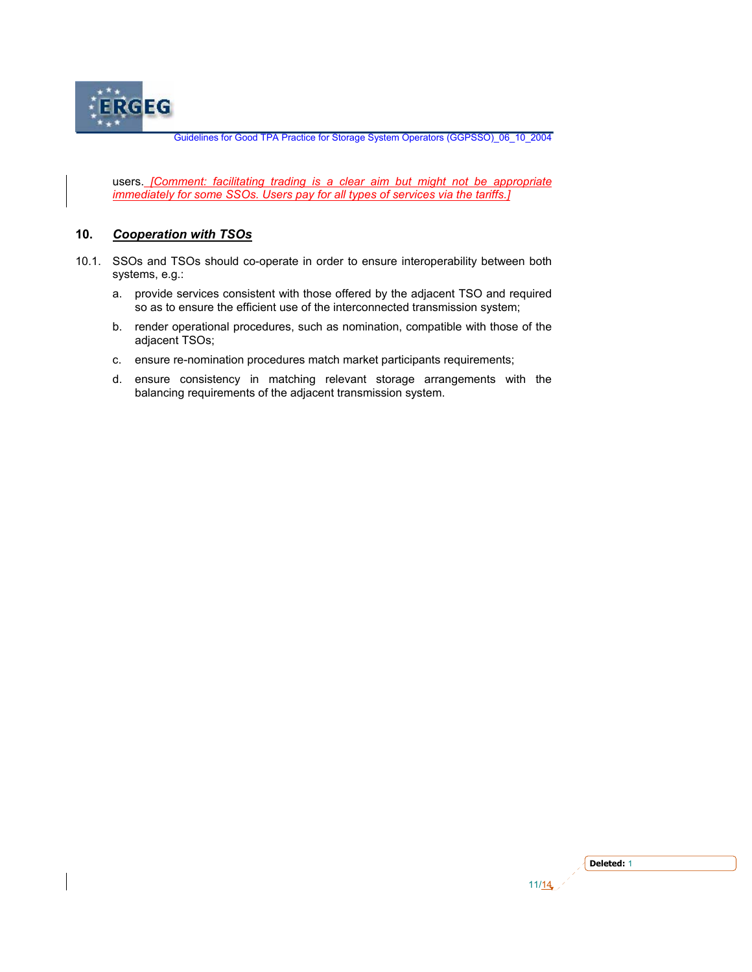

users. *[Comment: facilitating trading is a clear aim but might not be appropriate immediately for some SSOs. Users pay for all types of services via the tariffs.]*

### **10.** *Cooperation with TSOs*

- 10.1. SSOs and TSOs should co-operate in order to ensure interoperability between both systems, e.g.:
	- a. provide services consistent with those offered by the adjacent TSO and required so as to ensure the efficient use of the interconnected transmission system;
	- b. render operational procedures, such as nomination, compatible with those of the adjacent TSOs;
	- c. ensure re-nomination procedures match market participants requirements;
	- d. ensure consistency in matching relevant storage arrangements with the balancing requirements of the adjacent transmission system.

|   | n.<br>ејател: |
|---|---------------|
| . |               |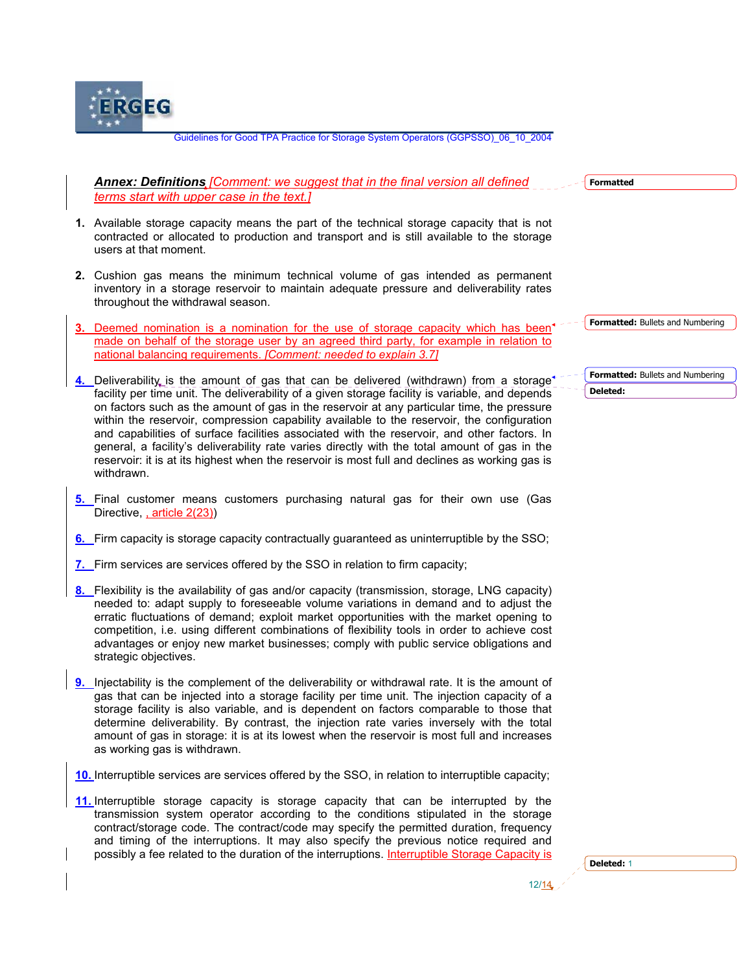

| <b>Annex: Definitions [Comment: we suggest that in the final version all defined</b> |  |  |
|--------------------------------------------------------------------------------------|--|--|
| terms start with upper case in the text.]                                            |  |  |

- **1.** Available storage capacity means the part of the technical storage capacity that is not contracted or allocated to production and transport and is still available to the storage users at that moment.
- **2.** Cushion gas means the minimum technical volume of gas intended as permanent inventory in a storage reservoir to maintain adequate pressure and deliverability rates throughout the withdrawal season.
- **3.** Deemed nomination is a nomination for the use of storage capacity which has been made on behalf of the storage user by an agreed third party, for example in relation to national balancing requirements. *[Comment: needed to explain 3.7]*
- **4.** Deliverability is the amount of gas that can be delivered (withdrawn) from a storage<sup>\*</sup> facility per time unit. The deliverability of a given storage facility is variable, and depends on factors such as the amount of gas in the reservoir at any particular time, the pressure within the reservoir, compression capability available to the reservoir, the configuration and capabilities of surface facilities associated with the reservoir, and other factors. In general, a facility's deliverability rate varies directly with the total amount of gas in the reservoir: it is at its highest when the reservoir is most full and declines as working gas is withdrawn.
- **5.** Final customer means customers purchasing natural gas for their own use (Gas Directive, article 2(23))
- **6.** Firm capacity is storage capacity contractually guaranteed as uninterruptible by the SSO;
- **7.** Firm services are services offered by the SSO in relation to firm capacity;
- **8.** Flexibility is the availability of gas and/or capacity (transmission, storage, LNG capacity) needed to: adapt supply to foreseeable volume variations in demand and to adjust the erratic fluctuations of demand; exploit market opportunities with the market opening to competition, i.e. using different combinations of flexibility tools in order to achieve cost advantages or enjoy new market businesses; comply with public service obligations and strategic objectives.
- **9.** Injectability is the complement of the deliverability or withdrawal rate. It is the amount of gas that can be injected into a storage facility per time unit. The injection capacity of a storage facility is also variable, and is dependent on factors comparable to those that determine deliverability. By contrast, the injection rate varies inversely with the total amount of gas in storage: it is at its lowest when the reservoir is most full and increases as working gas is withdrawn.
- **10.** Interruptible services are services offered by the SSO, in relation to interruptible capacity;
- **11.** Interruptible storage capacity is storage capacity that can be interrupted by the transmission system operator according to the conditions stipulated in the storage contract/storage code. The contract/code may specify the permitted duration, frequency and timing of the interruptions. It may also specify the previous notice required and possibly a fee related to the duration of the interruptions. Interruptible Storage Capacity is

 $12/14$ 

**Formatted**

**Formatted:** Bullets and Numbering

**Formatted:** Bullets and Numbering **Deleted:**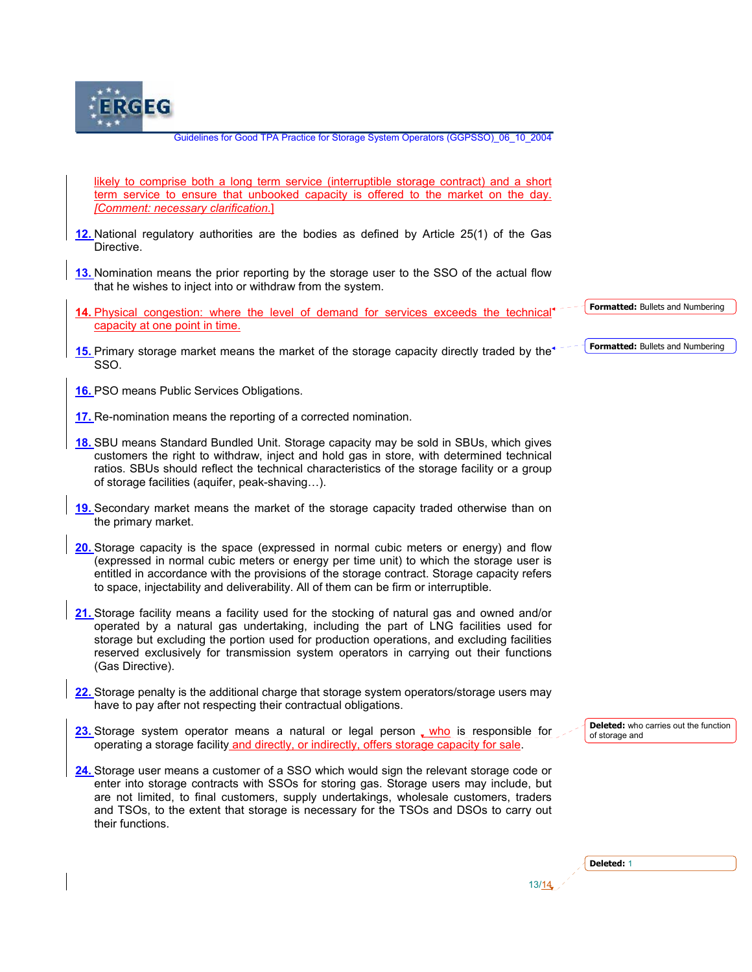

likely to comprise both a long term service (interruptible storage contract) and a short term service to ensure that unbooked capacity is offered to the market on the day. *[Comment: necessary clarification.*]

- **12.** National regulatory authorities are the bodies as defined by Article 25(1) of the Gas Directive.
- **13.** Nomination means the prior reporting by the storage user to the SSO of the actual flow that he wishes to inject into or withdraw from the system.
- **14.** Physical congestion: where the level of demand for services exceeds the technical capacity at one point in time.
- 15. Primary storage market means the market of the storage capacity directly traded by the<sup> $\sim$ -</sup> SSO.
- **16.** PSO means Public Services Obligations.
- **17.** Re-nomination means the reporting of a corrected nomination.
- **18.** SBU means Standard Bundled Unit. Storage capacity may be sold in SBUs, which gives customers the right to withdraw, inject and hold gas in store, with determined technical ratios. SBUs should reflect the technical characteristics of the storage facility or a group of storage facilities (aquifer, peak-shaving…).
- **19.** Secondary market means the market of the storage capacity traded otherwise than on the primary market.
- **20.** Storage capacity is the space (expressed in normal cubic meters or energy) and flow (expressed in normal cubic meters or energy per time unit) to which the storage user is entitled in accordance with the provisions of the storage contract. Storage capacity refers to space, injectability and deliverability. All of them can be firm or interruptible.
- **21.** Storage facility means a facility used for the stocking of natural gas and owned and/or operated by a natural gas undertaking, including the part of LNG facilities used for storage but excluding the portion used for production operations, and excluding facilities reserved exclusively for transmission system operators in carrying out their functions (Gas Directive).
- **22.** Storage penalty is the additional charge that storage system operators/storage users may have to pay after not respecting their contractual obligations.
- **23.** Storage system operator means a natural or legal person who is responsible for operating a storage facility and directly, or indirectly, offers storage capacity for sale.
- **24.** Storage user means a customer of a SSO which would sign the relevant storage code or enter into storage contracts with SSOs for storing gas. Storage users may include, but are not limited, to final customers, supply undertakings, wholesale customers, traders and TSOs, to the extent that storage is necessary for the TSOs and DSOs to carry out their functions.

 $13/14$ 

**Deleted:** who carries out the function

**Formatted:** Bullets and Numbering

**Formatted:** Bullets and Numbering

|  | r<br>7 M<br>٠ |  |
|--|---------------|--|
|--|---------------|--|

of storage and